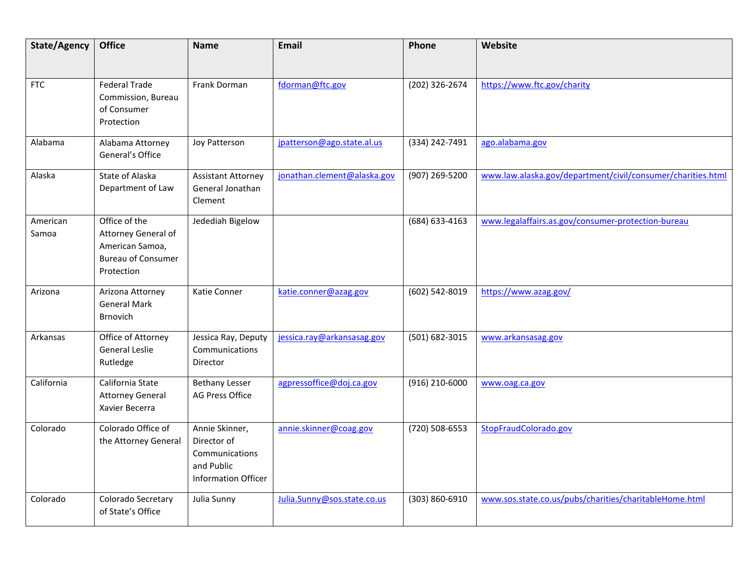| State/Agency      | <b>Office</b>                                                                                      | <b>Name</b>                                                                                 | <b>Email</b>                | Phone          | Website                                                     |
|-------------------|----------------------------------------------------------------------------------------------------|---------------------------------------------------------------------------------------------|-----------------------------|----------------|-------------------------------------------------------------|
|                   |                                                                                                    |                                                                                             |                             |                |                                                             |
| <b>FTC</b>        | <b>Federal Trade</b><br>Commission, Bureau<br>of Consumer<br>Protection                            | Frank Dorman                                                                                | fdorman@ftc.gov             | (202) 326-2674 | https://www.ftc.gov/charity                                 |
| Alabama           | Alabama Attorney<br>General's Office                                                               | Joy Patterson                                                                               | jpatterson@ago.state.al.us  | (334) 242-7491 | ago.alabama.gov                                             |
| Alaska            | State of Alaska<br>Department of Law                                                               | <b>Assistant Attorney</b><br>General Jonathan<br>Clement                                    | jonathan.clement@alaska.gov | (907) 269-5200 | www.law.alaska.gov/department/civil/consumer/charities.html |
| American<br>Samoa | Office of the<br>Attorney General of<br>American Samoa,<br><b>Bureau of Consumer</b><br>Protection | Jedediah Bigelow                                                                            |                             | (684) 633-4163 | www.legalaffairs.as.gov/consumer-protection-bureau          |
| Arizona           | Arizona Attorney<br><b>General Mark</b><br><b>Brnovich</b>                                         | Katie Conner                                                                                | katie.conner@azag.gov       | (602) 542-8019 | https://www.azag.gov/                                       |
| Arkansas          | Office of Attorney<br>General Leslie<br>Rutledge                                                   | Jessica Ray, Deputy<br>Communications<br>Director                                           | jessica.ray@arkansasag.gov  | (501) 682-3015 | www.arkansasag.gov                                          |
| California        | California State<br><b>Attorney General</b><br>Xavier Becerra                                      | <b>Bethany Lesser</b><br><b>AG Press Office</b>                                             | agpressoffice@doj.ca.gov    | (916) 210-6000 | www.oag.ca.gov                                              |
| Colorado          | Colorado Office of<br>the Attorney General                                                         | Annie Skinner,<br>Director of<br>Communications<br>and Public<br><b>Information Officer</b> | annie.skinner@coag.gov      | (720) 508-6553 | StopFraudColorado.gov                                       |
| Colorado          | Colorado Secretary<br>of State's Office                                                            | Julia Sunny                                                                                 | Julia.Sunny@sos.state.co.us | (303) 860-6910 | www.sos.state.co.us/pubs/charities/charitableHome.html      |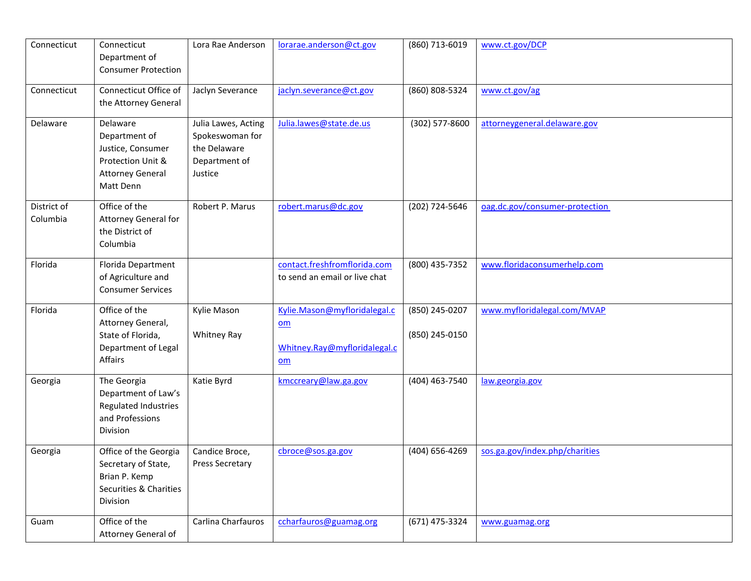| Connecticut             | Connecticut<br>Department of<br><b>Consumer Protection</b>                                                  | Lora Rae Anderson                                                                  | lorarae.anderson@ct.gov                                                                         | (860) 713-6019                   | www.ct.gov/DCP                 |
|-------------------------|-------------------------------------------------------------------------------------------------------------|------------------------------------------------------------------------------------|-------------------------------------------------------------------------------------------------|----------------------------------|--------------------------------|
| Connecticut             | Connecticut Office of<br>the Attorney General                                                               | Jaclyn Severance                                                                   | jaclyn.severance@ct.gov                                                                         | (860) 808-5324                   | www.ct.gov/ag                  |
| Delaware                | Delaware<br>Department of<br>Justice, Consumer<br>Protection Unit &<br><b>Attorney General</b><br>Matt Denn | Julia Lawes, Acting<br>Spokeswoman for<br>the Delaware<br>Department of<br>Justice | Julia.lawes@state.de.us                                                                         | (302) 577-8600                   | attorneygeneral.delaware.gov   |
| District of<br>Columbia | Office of the<br><b>Attorney General for</b><br>the District of<br>Columbia                                 | Robert P. Marus                                                                    | robert.marus@dc.gov                                                                             | (202) 724-5646                   | oag.dc.gov/consumer-protection |
| Florida                 | Florida Department<br>of Agriculture and<br><b>Consumer Services</b>                                        |                                                                                    | contact.freshfromflorida.com<br>to send an email or live chat                                   | (800) 435-7352                   | www.floridaconsumerhelp.com    |
| Florida                 | Office of the<br>Attorney General,<br>State of Florida,<br>Department of Legal<br>Affairs                   | Kylie Mason<br><b>Whitney Ray</b>                                                  | Kylie.Mason@myfloridalegal.c<br>$\underline{\mathsf{om}}$<br>Whitney.Ray@myfloridalegal.c<br>om | (850) 245-0207<br>(850) 245-0150 | www.myfloridalegal.com/MVAP    |
| Georgia                 | The Georgia<br>Department of Law's<br><b>Regulated Industries</b><br>and Professions<br>Division            | Katie Byrd                                                                         | kmccreary@law.ga.gov                                                                            | (404) 463-7540                   | law.georgia.gov                |
| Georgia                 | Office of the Georgia<br>Secretary of State,<br>Brian P. Kemp<br>Securities & Charities<br>Division         | Candice Broce,<br>Press Secretary                                                  | cbroce@sos.ga.gov                                                                               | (404) 656-4269                   | sos.ga.gov/index.php/charities |
| Guam                    | Office of the<br>Attorney General of                                                                        | Carlina Charfauros                                                                 | ccharfauros@guamag.org                                                                          | (671) 475-3324                   | www.guamag.org                 |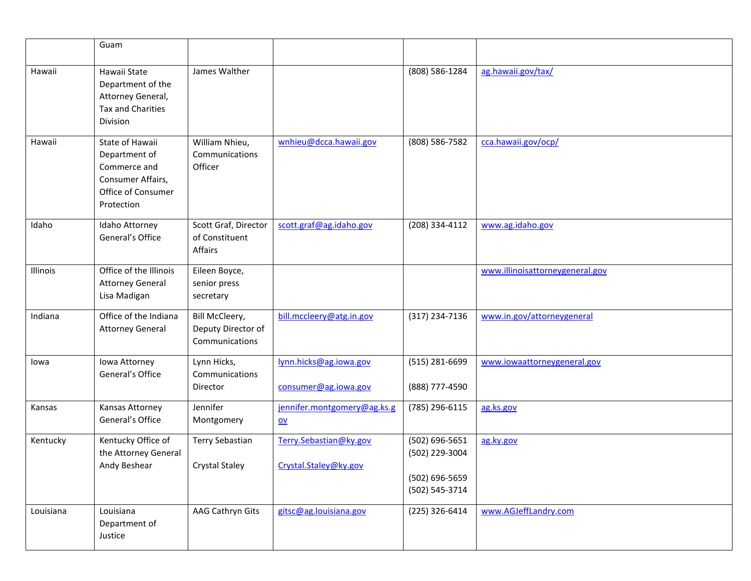|           | Guam                                                                                                      |                                                        |                                                          |                                                                      |                                 |
|-----------|-----------------------------------------------------------------------------------------------------------|--------------------------------------------------------|----------------------------------------------------------|----------------------------------------------------------------------|---------------------------------|
| Hawaii    | Hawaii State<br>Department of the<br>Attorney General,<br><b>Tax and Charities</b><br>Division            | James Walther                                          |                                                          | (808) 586-1284                                                       | ag.hawaii.gov/tax/              |
| Hawaii    | State of Hawaii<br>Department of<br>Commerce and<br>Consumer Affairs,<br>Office of Consumer<br>Protection | William Nhieu,<br>Communications<br>Officer            | wnhieu@dcca.hawaii.gov                                   | (808) 586-7582                                                       | cca.hawaii.gov/ocp/             |
| Idaho     | Idaho Attorney<br>General's Office                                                                        | Scott Graf, Director<br>of Constituent<br>Affairs      | scott.graf@ag.idaho.gov                                  | (208) 334-4112                                                       | www.ag.idaho.gov                |
| Illinois  | Office of the Illinois<br><b>Attorney General</b><br>Lisa Madigan                                         | Eileen Boyce,<br>senior press<br>secretary             |                                                          |                                                                      | www.illinoisattorneygeneral.gov |
| Indiana   | Office of the Indiana<br><b>Attorney General</b>                                                          | Bill McCleery,<br>Deputy Director of<br>Communications | bill.mccleery@atg.in.gov                                 | (317) 234-7136                                                       | www.in.gov/attorneygeneral      |
| lowa      | Iowa Attorney<br>General's Office                                                                         | Lynn Hicks,<br>Communications<br>Director              | lynn.hicks@ag.iowa.gov<br>consumer@ag.iowa.gov           | (515) 281-6699<br>(888) 777-4590                                     | www.iowaattorneygeneral.gov     |
| Kansas    | Kansas Attorney<br>General's Office                                                                       | Jennifer<br>Montgomery                                 | jennifer.montgomery@ag.ks.g<br>$\underline{\mathsf{ov}}$ | (785) 296-6115                                                       | ag.ks.gov                       |
| Kentucky  | Kentucky Office of<br>the Attorney General<br>Andy Beshear                                                | Terry Sebastian<br><b>Crystal Staley</b>               | Terry.Sebastian@ky.gov<br>Crystal.Staley@ky.gov          | (502) 696-5651<br>(502) 229-3004<br>(502) 696-5659<br>(502) 545-3714 | ag.ky.gov                       |
| Louisiana | Louisiana<br>Department of<br>Justice                                                                     | AAG Cathryn Gits                                       | gitsc@ag.louisiana.gov                                   | (225) 326-6414                                                       | www.AGJeffLandry.com            |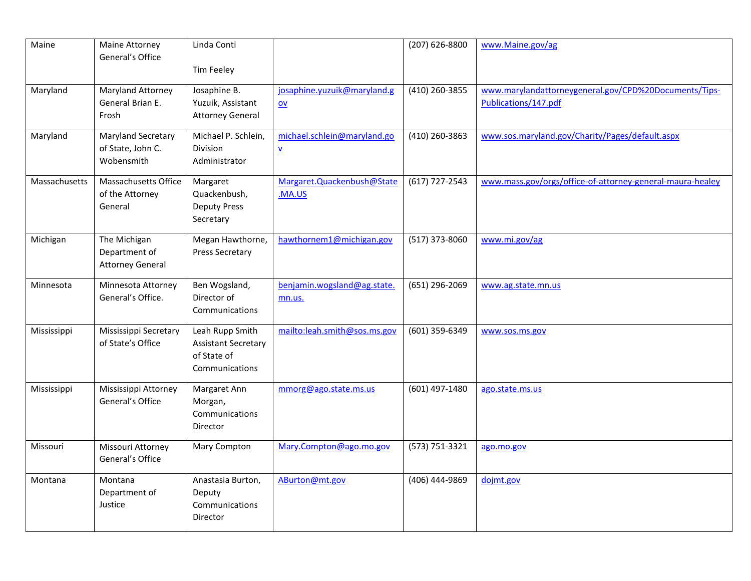| Maine         | Maine Attorney<br>General's Office                       | Linda Conti                                                                    |                                                          | (207) 626-8800   | www.Maine.gov/ag                                                              |
|---------------|----------------------------------------------------------|--------------------------------------------------------------------------------|----------------------------------------------------------|------------------|-------------------------------------------------------------------------------|
|               |                                                          | Tim Feeley                                                                     |                                                          |                  |                                                                               |
| Maryland      | Maryland Attorney<br>General Brian E.<br>Frosh           | Josaphine B.<br>Yuzuik, Assistant<br><b>Attorney General</b>                   | josaphine.yuzuik@maryland.g<br>$\underline{\mathsf{ov}}$ | (410) 260-3855   | www.marylandattorneygeneral.gov/CPD%20Documents/Tips-<br>Publications/147.pdf |
| Maryland      | Maryland Secretary<br>of State, John C.<br>Wobensmith    | Michael P. Schlein,<br>Division<br>Administrator                               | michael.schlein@maryland.go<br>$\underline{\mathsf{v}}$  | (410) 260-3863   | www.sos.maryland.gov/Charity/Pages/default.aspx                               |
| Massachusetts | Massachusetts Office<br>of the Attorney<br>General       | Margaret<br>Quackenbush,<br><b>Deputy Press</b><br>Secretary                   | Margaret.Quackenbush@State<br>.MA.US                     | $(617)$ 727-2543 | www.mass.gov/orgs/office-of-attorney-general-maura-healey                     |
| Michigan      | The Michigan<br>Department of<br><b>Attorney General</b> | Megan Hawthorne,<br><b>Press Secretary</b>                                     | hawthornem1@michigan.gov                                 | (517) 373-8060   | www.mi.gov/ag                                                                 |
| Minnesota     | Minnesota Attorney<br>General's Office.                  | Ben Wogsland,<br>Director of<br>Communications                                 | benjamin.wogsland@ag.state.<br>mn.us.                    | (651) 296-2069   | www.ag.state.mn.us                                                            |
| Mississippi   | Mississippi Secretary<br>of State's Office               | Leah Rupp Smith<br><b>Assistant Secretary</b><br>of State of<br>Communications | mailto:leah.smith@sos.ms.gov                             | (601) 359-6349   | www.sos.ms.gov                                                                |
| Mississippi   | Mississippi Attorney<br>General's Office                 | Margaret Ann<br>Morgan,<br>Communications<br>Director                          | mmorg@ago.state.ms.us                                    | (601) 497-1480   | ago.state.ms.us                                                               |
| Missouri      | Missouri Attorney<br>General's Office                    | Mary Compton                                                                   | Mary.Compton@ago.mo.gov                                  | (573) 751-3321   | ago.mo.gov                                                                    |
| Montana       | Montana<br>Department of<br>Justice                      | Anastasia Burton,<br>Deputy<br>Communications<br>Director                      | ABurton@mt.gov                                           | (406) 444-9869   | dojmt.gov                                                                     |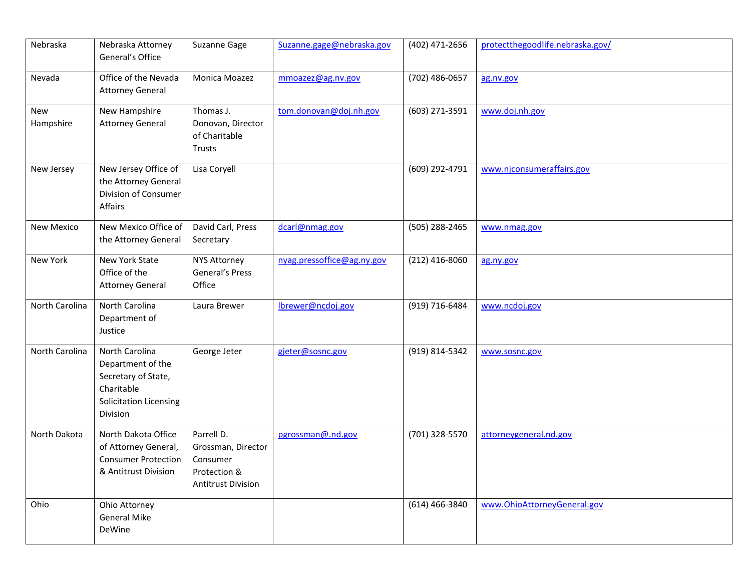| Nebraska          | Nebraska Attorney<br>General's Office                                                                                 | Suzanne Gage                                                                              | Suzanne.gage@nebraska.gov  | (402) 471-2656   | protectthegoodlife.nebraska.gov/ |
|-------------------|-----------------------------------------------------------------------------------------------------------------------|-------------------------------------------------------------------------------------------|----------------------------|------------------|----------------------------------|
| Nevada            | Office of the Nevada<br><b>Attorney General</b>                                                                       | Monica Moazez                                                                             | mmoazez@ag.nv.gov          | (702) 486-0657   | ag.nv.gov                        |
| New<br>Hampshire  | New Hampshire<br><b>Attorney General</b>                                                                              | Thomas J.<br>Donovan, Director<br>of Charitable<br>Trusts                                 | tom.donovan@doj.nh.gov     | (603) 271-3591   | www.doj.nh.gov                   |
| New Jersey        | New Jersey Office of<br>the Attorney General<br>Division of Consumer<br>Affairs                                       | Lisa Coryell                                                                              |                            | (609) 292-4791   | www.njconsumeraffairs.gov        |
| <b>New Mexico</b> | New Mexico Office of<br>the Attorney General                                                                          | David Carl, Press<br>Secretary                                                            | dcarl@nmag.gov             | (505) 288-2465   | www.nmag.gov                     |
| New York          | New York State<br>Office of the<br><b>Attorney General</b>                                                            | NYS Attorney<br>General's Press<br>Office                                                 | nyag.pressoffice@ag.ny.gov | (212) 416-8060   | ag.ny.gov                        |
| North Carolina    | North Carolina<br>Department of<br>Justice                                                                            | Laura Brewer                                                                              | lbrewer@ncdoj.gov          | (919) 716-6484   | www.ncdoj.gov                    |
| North Carolina    | North Carolina<br>Department of the<br>Secretary of State,<br>Charitable<br><b>Solicitation Licensing</b><br>Division | George Jeter                                                                              | gjeter@sosnc.gov           | (919) 814-5342   | www.sosnc.gov                    |
| North Dakota      | North Dakota Office<br>of Attorney General,<br><b>Consumer Protection</b><br>& Antitrust Division                     | Parrell D.<br>Grossman, Director<br>Consumer<br>Protection &<br><b>Antitrust Division</b> | pgrossman@.nd.gov          | (701) 328-5570   | attorneygeneral.nd.gov           |
| Ohio              | Ohio Attorney<br><b>General Mike</b><br>DeWine                                                                        |                                                                                           |                            | $(614)$ 466-3840 | www.OhioAttorneyGeneral.gov      |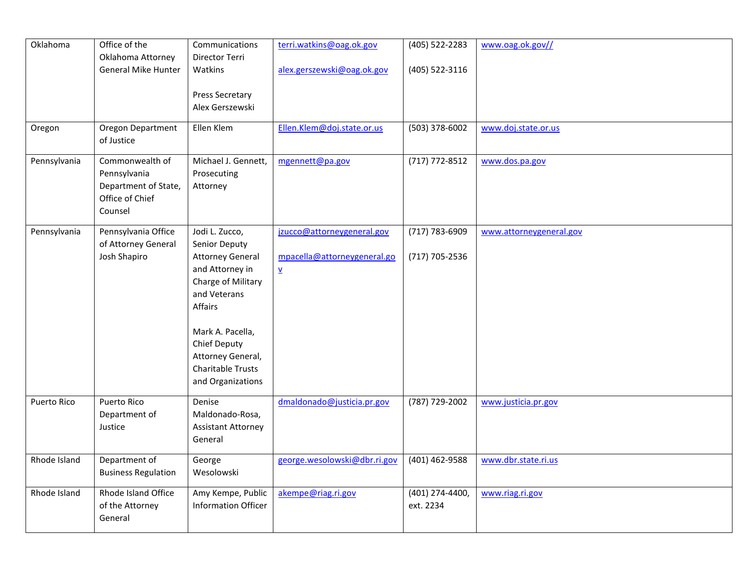| Communications<br>(405) 522-2283<br>www.oag.ok.gov//<br>Oklahoma Attorney<br>Director Terri<br>General Mike Hunter<br>Watkins<br>alex.gerszewski@oag.ok.gov<br>(405) 522-3116<br>Press Secretary<br>Alex Gerszewski<br>Oregon Department<br>Ellen Klem<br>(503) 378-6002<br>Oregon<br>Ellen.Klem@doj.state.or.us<br>www.doj.state.or.us<br>of Justice<br>Commonwealth of<br>Michael J. Gennett,<br>mgennett@pa.gov<br>(717) 772-8512<br>www.dos.pa.gov<br>Pennsylvania<br>Pennsylvania<br>Prosecuting<br>Department of State,<br>Attorney<br>Office of Chief<br>Counsel<br>Pennsylvania<br>Pennsylvania Office<br>Jodi L. Zucco,<br>jzucco@attorneygeneral.gov<br>(717) 783-6909<br>www.attorneygeneral.gov<br>of Attorney General<br>Senior Deputy<br>Josh Shapiro<br><b>Attorney General</b><br>mpacella@attorneygeneral.go<br>(717) 705-2536<br>and Attorney in<br>$\underline{\mathbf{v}}$<br>Charge of Military<br>and Veterans<br>Affairs<br>Mark A. Pacella,<br>Chief Deputy<br>Attorney General,<br>Charitable Trusts<br>and Organizations<br>Puerto Rico<br>dmaldonado@justicia.pr.gov<br>(787) 729-2002<br>Puerto Rico<br>Denise<br>www.justicia.pr.gov<br>Maldonado-Rosa,<br>Department of<br>Justice<br><b>Assistant Attorney</b><br>General<br>Rhode Island<br>Department of<br>george.wesolowski@dbr.ri.gov<br>(401) 462-9588<br>www.dbr.state.ri.us<br>George<br><b>Business Regulation</b><br>Wesolowski<br>Rhode Island<br>Rhode Island Office<br>Amy Kempe, Public<br>akempe@riag.ri.gov<br>(401) 274-4400,<br>www.riag.ri.gov<br>Information Officer<br>of the Attorney<br>ext. 2234<br>General |          |               |                          |  |
|--------------------------------------------------------------------------------------------------------------------------------------------------------------------------------------------------------------------------------------------------------------------------------------------------------------------------------------------------------------------------------------------------------------------------------------------------------------------------------------------------------------------------------------------------------------------------------------------------------------------------------------------------------------------------------------------------------------------------------------------------------------------------------------------------------------------------------------------------------------------------------------------------------------------------------------------------------------------------------------------------------------------------------------------------------------------------------------------------------------------------------------------------------------------------------------------------------------------------------------------------------------------------------------------------------------------------------------------------------------------------------------------------------------------------------------------------------------------------------------------------------------------------------------------------------------------------------------------------------------------|----------|---------------|--------------------------|--|
|                                                                                                                                                                                                                                                                                                                                                                                                                                                                                                                                                                                                                                                                                                                                                                                                                                                                                                                                                                                                                                                                                                                                                                                                                                                                                                                                                                                                                                                                                                                                                                                                                    | Oklahoma | Office of the | terri.watkins@oag.ok.gov |  |
|                                                                                                                                                                                                                                                                                                                                                                                                                                                                                                                                                                                                                                                                                                                                                                                                                                                                                                                                                                                                                                                                                                                                                                                                                                                                                                                                                                                                                                                                                                                                                                                                                    |          |               |                          |  |
|                                                                                                                                                                                                                                                                                                                                                                                                                                                                                                                                                                                                                                                                                                                                                                                                                                                                                                                                                                                                                                                                                                                                                                                                                                                                                                                                                                                                                                                                                                                                                                                                                    |          |               |                          |  |
|                                                                                                                                                                                                                                                                                                                                                                                                                                                                                                                                                                                                                                                                                                                                                                                                                                                                                                                                                                                                                                                                                                                                                                                                                                                                                                                                                                                                                                                                                                                                                                                                                    |          |               |                          |  |
|                                                                                                                                                                                                                                                                                                                                                                                                                                                                                                                                                                                                                                                                                                                                                                                                                                                                                                                                                                                                                                                                                                                                                                                                                                                                                                                                                                                                                                                                                                                                                                                                                    |          |               |                          |  |
|                                                                                                                                                                                                                                                                                                                                                                                                                                                                                                                                                                                                                                                                                                                                                                                                                                                                                                                                                                                                                                                                                                                                                                                                                                                                                                                                                                                                                                                                                                                                                                                                                    |          |               |                          |  |
|                                                                                                                                                                                                                                                                                                                                                                                                                                                                                                                                                                                                                                                                                                                                                                                                                                                                                                                                                                                                                                                                                                                                                                                                                                                                                                                                                                                                                                                                                                                                                                                                                    |          |               |                          |  |
|                                                                                                                                                                                                                                                                                                                                                                                                                                                                                                                                                                                                                                                                                                                                                                                                                                                                                                                                                                                                                                                                                                                                                                                                                                                                                                                                                                                                                                                                                                                                                                                                                    |          |               |                          |  |
|                                                                                                                                                                                                                                                                                                                                                                                                                                                                                                                                                                                                                                                                                                                                                                                                                                                                                                                                                                                                                                                                                                                                                                                                                                                                                                                                                                                                                                                                                                                                                                                                                    |          |               |                          |  |
|                                                                                                                                                                                                                                                                                                                                                                                                                                                                                                                                                                                                                                                                                                                                                                                                                                                                                                                                                                                                                                                                                                                                                                                                                                                                                                                                                                                                                                                                                                                                                                                                                    |          |               |                          |  |
|                                                                                                                                                                                                                                                                                                                                                                                                                                                                                                                                                                                                                                                                                                                                                                                                                                                                                                                                                                                                                                                                                                                                                                                                                                                                                                                                                                                                                                                                                                                                                                                                                    |          |               |                          |  |
|                                                                                                                                                                                                                                                                                                                                                                                                                                                                                                                                                                                                                                                                                                                                                                                                                                                                                                                                                                                                                                                                                                                                                                                                                                                                                                                                                                                                                                                                                                                                                                                                                    |          |               |                          |  |
|                                                                                                                                                                                                                                                                                                                                                                                                                                                                                                                                                                                                                                                                                                                                                                                                                                                                                                                                                                                                                                                                                                                                                                                                                                                                                                                                                                                                                                                                                                                                                                                                                    |          |               |                          |  |
|                                                                                                                                                                                                                                                                                                                                                                                                                                                                                                                                                                                                                                                                                                                                                                                                                                                                                                                                                                                                                                                                                                                                                                                                                                                                                                                                                                                                                                                                                                                                                                                                                    |          |               |                          |  |
|                                                                                                                                                                                                                                                                                                                                                                                                                                                                                                                                                                                                                                                                                                                                                                                                                                                                                                                                                                                                                                                                                                                                                                                                                                                                                                                                                                                                                                                                                                                                                                                                                    |          |               |                          |  |
|                                                                                                                                                                                                                                                                                                                                                                                                                                                                                                                                                                                                                                                                                                                                                                                                                                                                                                                                                                                                                                                                                                                                                                                                                                                                                                                                                                                                                                                                                                                                                                                                                    |          |               |                          |  |
|                                                                                                                                                                                                                                                                                                                                                                                                                                                                                                                                                                                                                                                                                                                                                                                                                                                                                                                                                                                                                                                                                                                                                                                                                                                                                                                                                                                                                                                                                                                                                                                                                    |          |               |                          |  |
|                                                                                                                                                                                                                                                                                                                                                                                                                                                                                                                                                                                                                                                                                                                                                                                                                                                                                                                                                                                                                                                                                                                                                                                                                                                                                                                                                                                                                                                                                                                                                                                                                    |          |               |                          |  |
|                                                                                                                                                                                                                                                                                                                                                                                                                                                                                                                                                                                                                                                                                                                                                                                                                                                                                                                                                                                                                                                                                                                                                                                                                                                                                                                                                                                                                                                                                                                                                                                                                    |          |               |                          |  |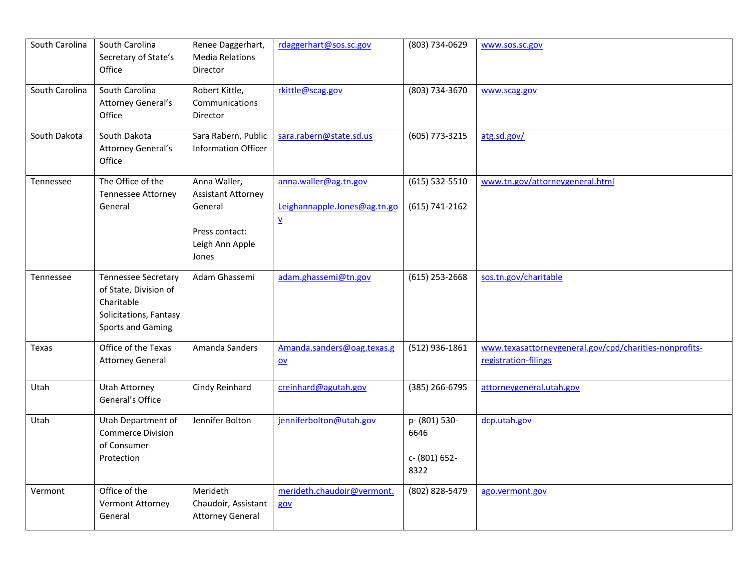| South Carolina | South Carolina<br>Secretary of State's<br>Office                                                                        | Renee Daggerhart,<br><b>Media Relations</b><br>Director                                            | rdaggerhart@sos.sc.gov                                                            | (803) 734-0629                                 | www.sos.sc.gov                                                                 |
|----------------|-------------------------------------------------------------------------------------------------------------------------|----------------------------------------------------------------------------------------------------|-----------------------------------------------------------------------------------|------------------------------------------------|--------------------------------------------------------------------------------|
| South Carolina | South Carolina<br>Attorney General's<br>Office                                                                          | Robert Kittle,<br>Communications<br>Director                                                       | rkittle@scag.gov                                                                  | (803) 734-3670                                 | www.scag.gov                                                                   |
| South Dakota   | South Dakota<br><b>Attorney General's</b><br>Office                                                                     | Sara Rabern, Public<br><b>Information Officer</b>                                                  | sara.rabern@state.sd.us                                                           | (605) 773-3215                                 | atg.sd.gov/                                                                    |
| Tennessee      | The Office of the<br><b>Tennessee Attorney</b><br>General                                                               | Anna Waller,<br><b>Assistant Attorney</b><br>General<br>Press contact:<br>Leigh Ann Apple<br>Jones | anna.waller@ag.tn.gov<br>Leighannapple.Jones@ag.tn.go<br>$\underline{\mathsf{v}}$ | $(615) 532 - 5510$<br>(615) 741-2162           | www.tn.gov/attorneygeneral.html                                                |
| Tennessee      | <b>Tennessee Secretary</b><br>of State, Division of<br>Charitable<br>Solicitations, Fantasy<br><b>Sports and Gaming</b> | Adam Ghassemi                                                                                      | adam.ghassemi@tn.gov                                                              | $(615)$ 253-2668                               | sos.tn.gov/charitable                                                          |
| Texas          | Office of the Texas<br><b>Attorney General</b>                                                                          | Amanda Sanders                                                                                     | Amanda.sanders@oag.texas.g<br>$\underline{\mathsf{ov}}$                           | (512) 936-1861                                 | www.texasattorneygeneral.gov/cpd/charities-nonprofits-<br>registration-filings |
| Utah           | <b>Utah Attorney</b><br>General's Office                                                                                | Cindy Reinhard                                                                                     | creinhard@agutah.gov                                                              | (385) 266-6795                                 | attorneygeneral.utah.gov                                                       |
| Utah           | Utah Department of<br><b>Commerce Division</b><br>of Consumer<br>Protection                                             | Jennifer Bolton                                                                                    | jenniferbolton@utah.gov                                                           | p- (801) 530-<br>6646<br>c- (801) 652-<br>8322 | dcp.utah.gov                                                                   |
| Vermont        | Office of the<br>Vermont Attorney<br>General                                                                            | Merideth<br>Chaudoir, Assistant<br><b>Attorney General</b>                                         | merideth.chaudoir@vermont.<br>gov                                                 | (802) 828-5479                                 | ago.vermont.gov                                                                |